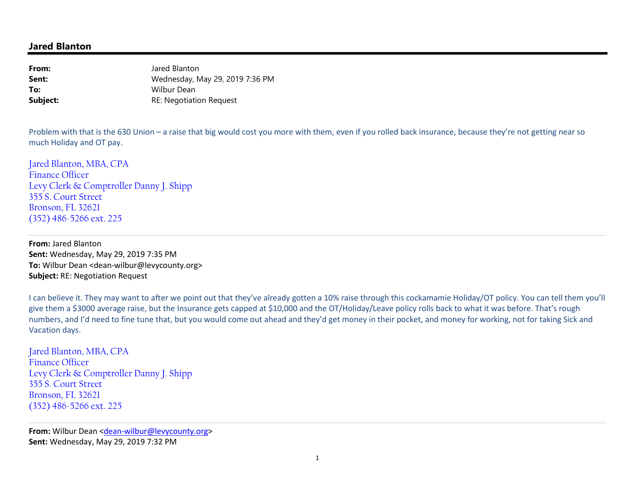## **Jared Blanton**

**From:** Jared Blanton Wednesday, May 29, 2019 7:36 PM**Sent:To:** Wilbur Dean RE: Negotiation Request**Subject:**

Problem with that is the 630 Union – a raise that big would cost you more with them, even if you rolled back insurance, because they're not getting near so much Holiday and OT pay.

Jared Blanton, MBA, CPA Finance Officer Levy Clerk & Comptroller Danny J. Shipp 355 S. Court Street Bronson, FL 32621 (352) 486-5266 ext. 225

**From:** Jared Blanton **Sent:** Wednesday, May 29, 2019 7:35 PM **To:** Wilbur Dean <dean-wilbur@levycounty.org> **Subject:** RE: Negotiation Request

I can believe it. They may want to after we point out that they've already gotten a 10% raise through this cockamamie Holiday/OT policy. You can tell them you'll give them a \$3000 average raise, but the Insurance gets capped at \$10,000 and the OT/Holiday/Leave policy rolls back to what it was before. That's rough numbers, and I'd need to fine tune that, but you would come out ahead and they'd get money in their pocket, and money for working, not for taking Sick and Vacation days.

Jared Blanton, MBA, CPA Finance Officer Levy Clerk & Comptroller Danny J. Shipp 355 S. Court Street Bronson, FL 32621 (352) 486-5266 ext. 225

**From:** Wilbur Dean <dean-wilbur@levycounty.org> **Sent:** Wednesday, May 29, 2019 7:32 PM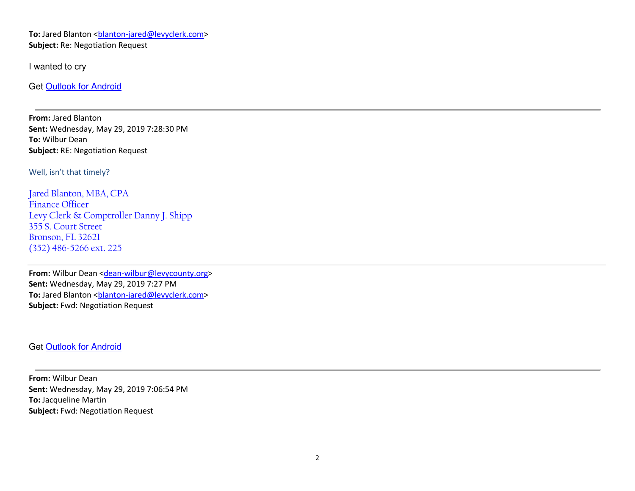To: Jared Blanton <br />blanton-jared@levyclerk.com> **Subject:** Re: Negotiation Request

I wanted to cry

Get Outlook for Android

**From:** Jared Blanton **Sent:** Wednesday, May 29, 2019 7:28:30 PM **To:** Wilbur Dean **Subject:** RE: Negotiation Request

Well, isn't that timely?

Jared Blanton, MBA, CPA Finance Officer Levy Clerk & Comptroller Danny J. Shipp 355 S. Court Street Bronson, FL 32621 (352) 486-5266 ext. 225

From: Wilbur Dean <dean-wilbur@levycounty.org> **Sent:** Wednesday, May 29, 2019 7:27 PM **To:** Jared Blanton <ba>shanton-jared@levyclerk.com> **Subject:** Fwd: Negotiation Request

Get Outlook for Android

**From:** Wilbur Dean **Sent:** Wednesday, May 29, 2019 7:06:54 PM **To:** Jacqueline Martin **Subject:** Fwd: Negotiation Request